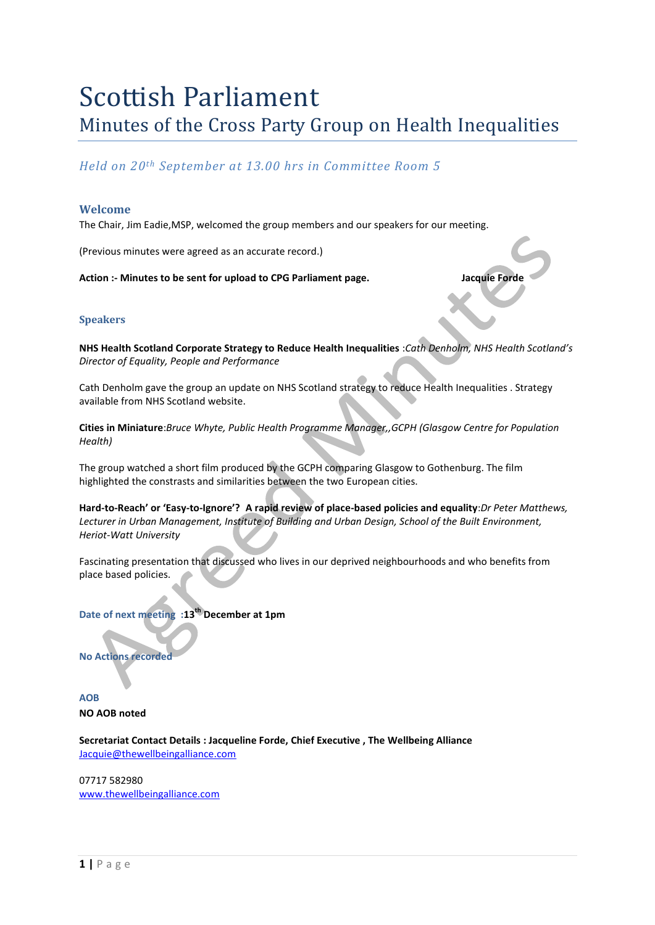# Scottish Parliament Minutes of the Cross Party Group on Health Inequalities

### *Held on 20th September at 13.00 hrs in Committee Room 5*

#### **Welcome**

The Chair, Jim Eadie,MSP, welcomed the group members and our speakers for our meeting.

(Previous minutes were agreed as an accurate record.)

Action :- Minutes to be sent for upload to CPG Parliament page. **Jacquie Forde** 

#### **Speakers**

**NHS Health Scotland Corporate Strategy to Reduce Health Inequalities** :*Cath Denholm, NHS Health Scotland's Director of Equality, People and Performance*

Cath Denholm gave the group an update on NHS Scotland strategy to reduce Health Inequalities . Strategy available from NHS Scotland website.

**Cities in Miniature**:*Bruce Whyte, Public Health Programme Manager,,GCPH (Glasgow Centre for Population Health)*

The group watched a short film produced by the GCPH comparing Glasgow to Gothenburg. The film highlighted the constrasts and similarities between the two European cities.

**Hard-to-Reach' or 'Easy-to-Ignore'? A rapid review of place-based policies and equality**:*Dr Peter Matthews, Lecturer in Urban Management, Institute of Building and Urban Design, School of the Built Environment, Heriot-Watt University*

Fascinating presentation that discussed who lives in our deprived neighbourhoods and who benefits from place based policies.

**Date of next meeting :13th December at 1pm**

**No Actions recorded** 

**AOB NO AOB noted** 

**Secretariat Contact Details : Jacqueline Forde, Chief Executive , The Wellbeing Alliance** [Jacquie@thewellbeingalliance.com](mailto:Jacquie@thewellbeingalliance.com)

07717 582980 [www.thewellbeingalliance.com](http://www.thewellbeingalliance.com/)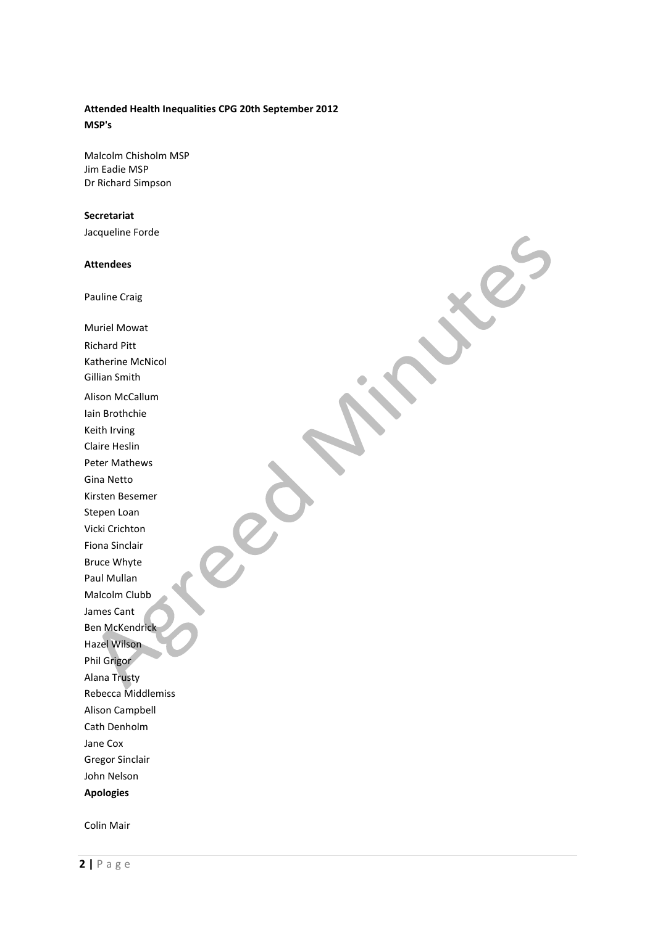## **Attended Health Inequalities CPG 20th September 2012**

**MSP's**

Malcolm Chisholm MSP Jim Eadie MSP Dr Richard Simpson

#### **Secretariat**

Jacqueline Forde

#### **Attendees**

Pauline Craig

Muriel Mowat Richard Pitt Katherine McNicol Gillian Smith Alison McCallum Iain Brothchie Keith Irving Claire Heslin Peter Mathews Gina Netto Kirsten Besemer Stepen Loan Vicki Crichton Fiona Sinclair Bruce Whyte Paul Mullan Malcolm Clubb James Cant Ben McKendrick Hazel Wilson Phil Grigor Alana Trusty Rebecca Middlemiss Alison Campbell Cath Denholm Jane Cox Gregor Sinclair John Nelson **Apologies** 

Colin Mair